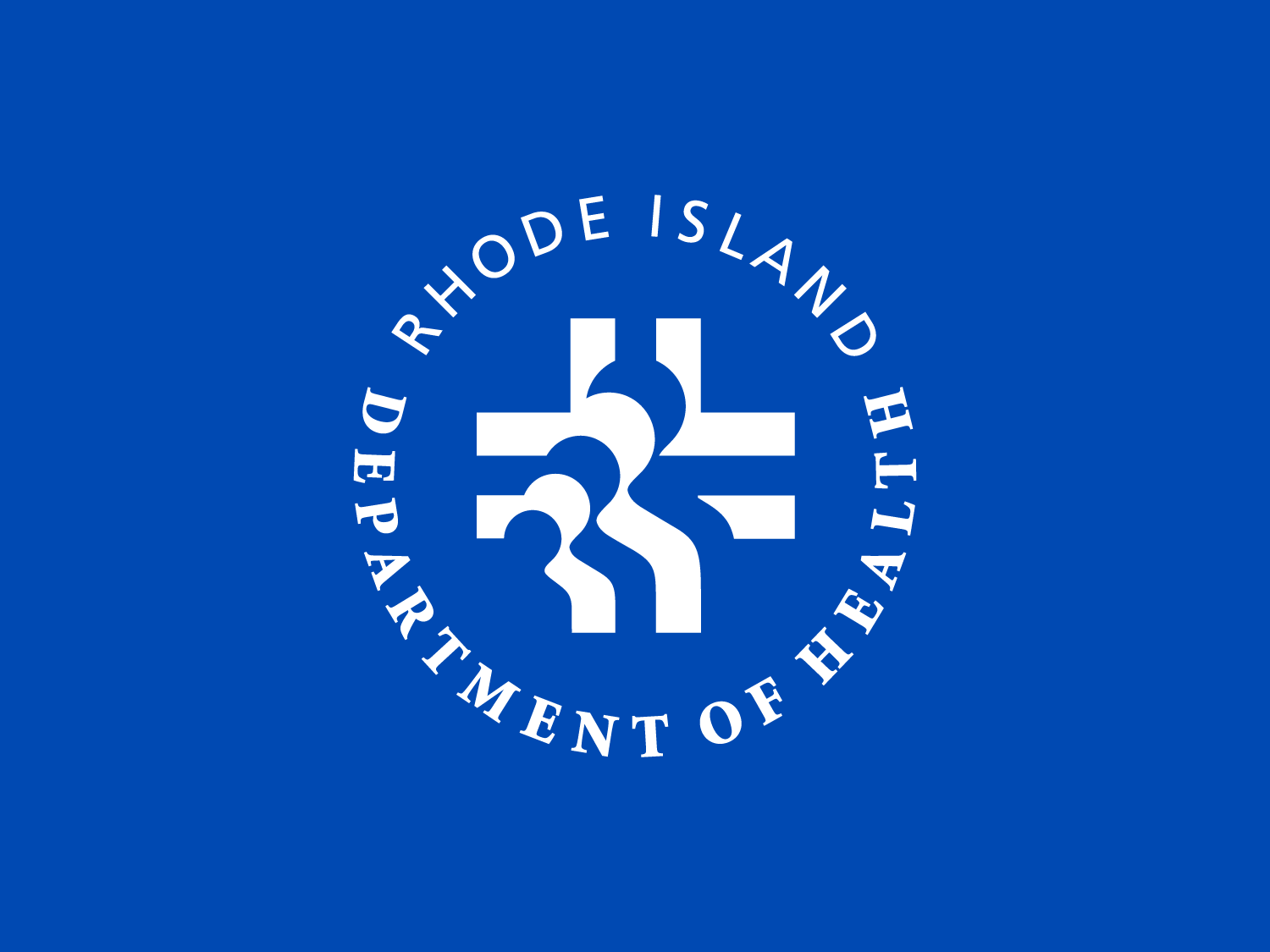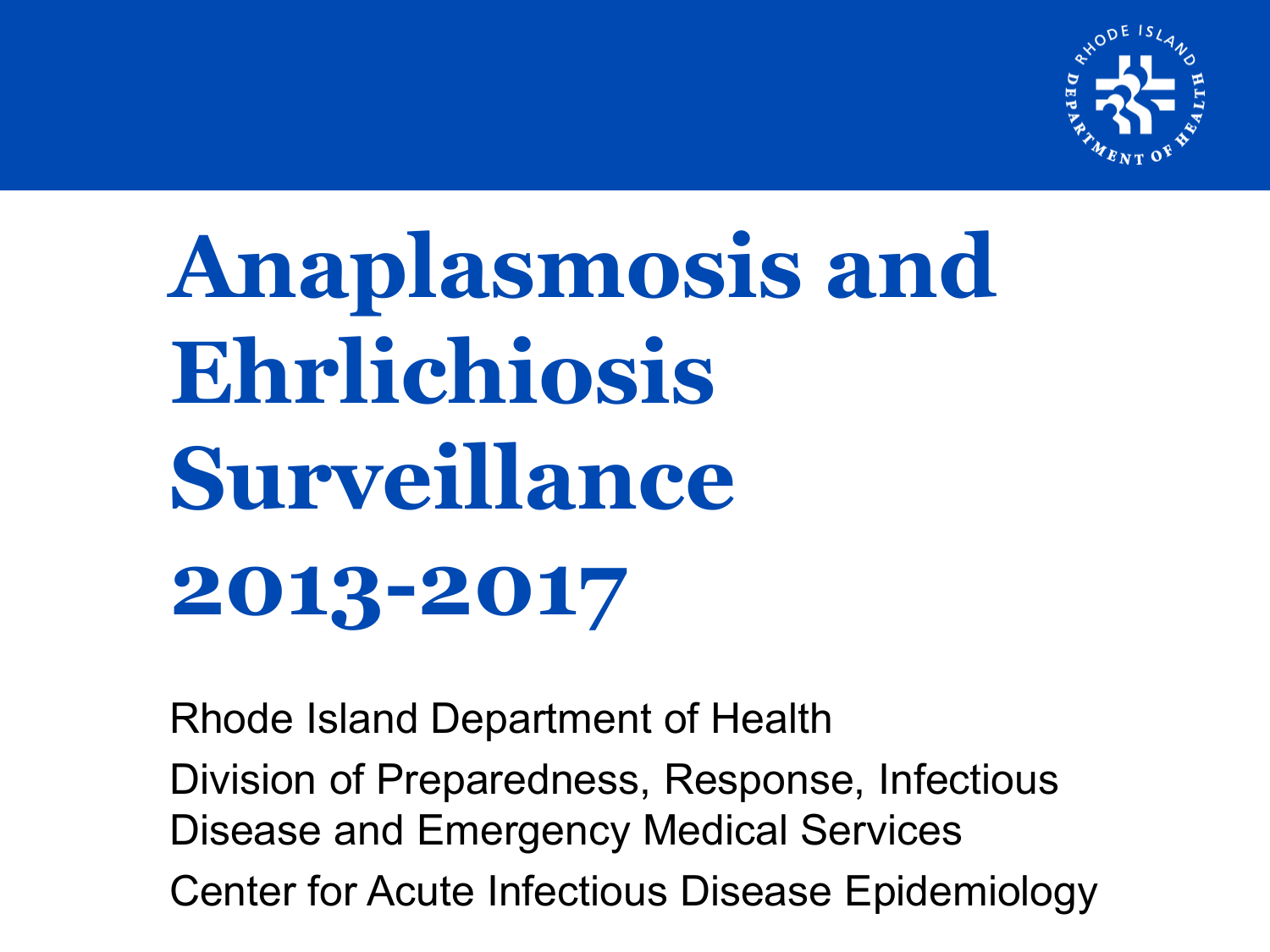

# **Anaplasmosis and Ehrlichiosis Surveillance 2013-2017**

Rhode Island Department of Health Division of Preparedness, Response, Infectious Disease and Emergency Medical Services Center for Acute Infectious Disease Epidemiology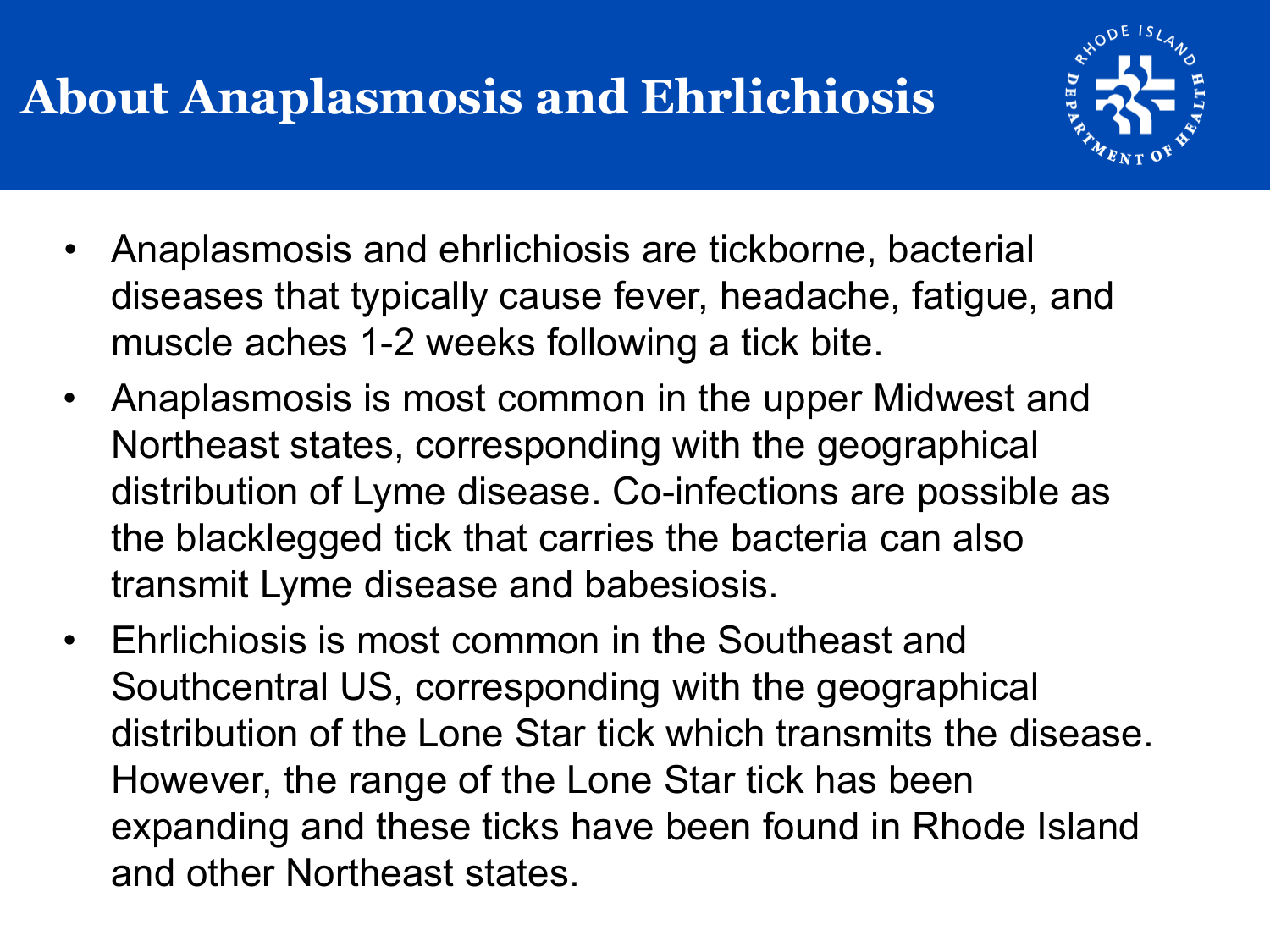#### **About Anaplasmosis and Ehrlichiosis**



- Anaplasmosis and ehrlichiosis are tickborne, bacterial diseases that typically cause fever, headache, fatigue, and muscle aches 1-2 weeks following a tick bite.
- Anaplasmosis is most common in the upper Midwest and Northeast states, corresponding with the geographical distribution of Lyme disease. Co-infections are possible as the blacklegged tick that carries the bacteria can also transmit Lyme disease and babesiosis.
- Ehrlichiosis is most common in the Southeast and Southcentral US, corresponding with the geographical distribution of the Lone Star tick which transmits the disease. However, the range of the Lone Star tick has been expanding and these ticks have been found in Rhode Island and other Northeast states.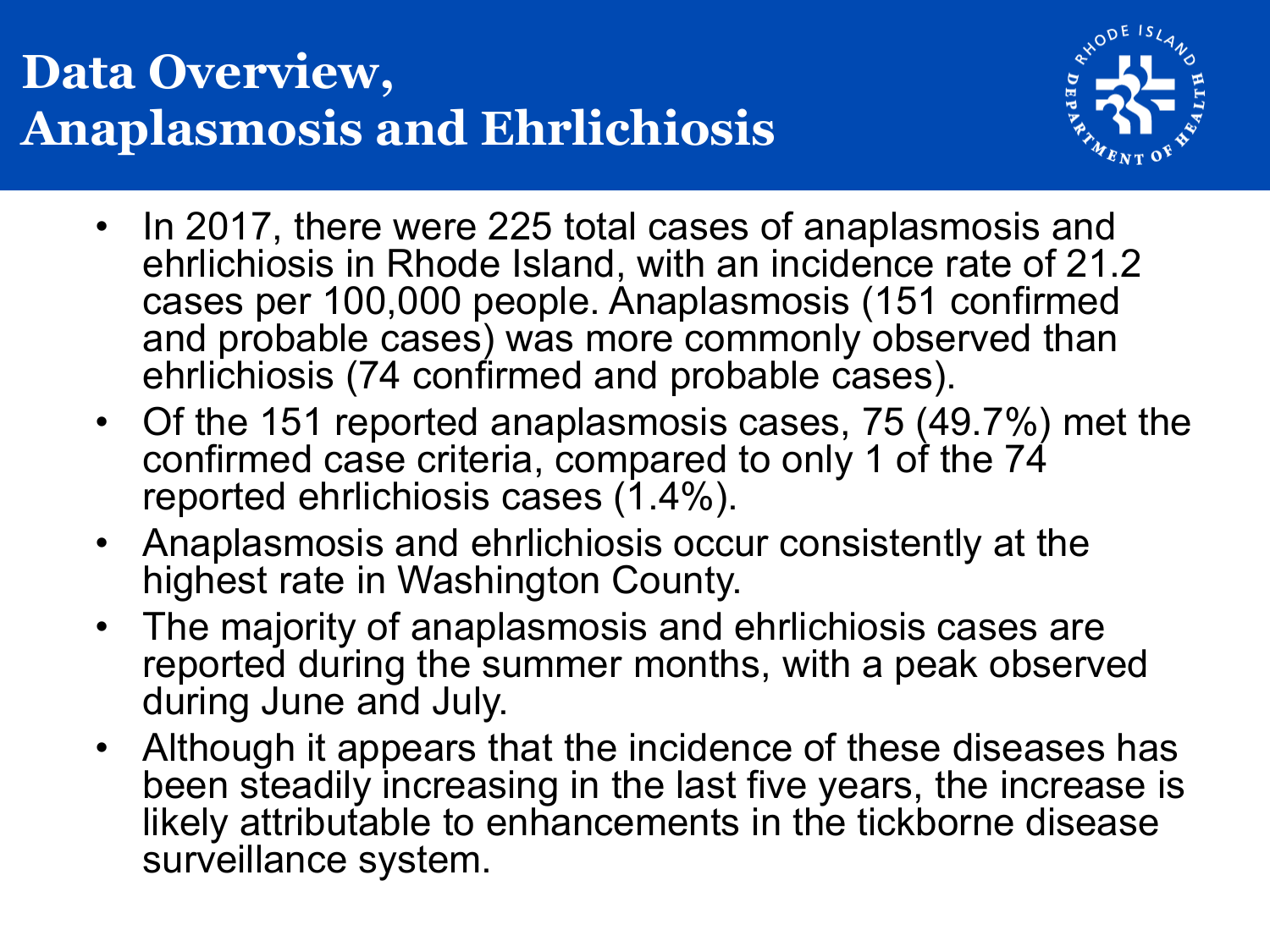#### **Data Overview, Anaplasmosis and Ehrlichiosis**



- In 2017, there were 225 total cases of anaplasmosis and ehrlichiosis in Rhode Island, with an incidence rate of 21.2 cases per 100,000 people. Anaplasmosis (151 confirmed and probable cases) was more commonly observed than ehrlichiosis (74 confirmed and probable cases).
- Of the 151 reported anaplasmosis cases, 75 (49.7%) met the confirmed case criteria, compared to only 1 of the 74 reported ehrlichiosis cases (1.4%).
- Anaplasmosis and ehrlichiosis occur consistently at the highest rate in Washington County.
- The majority of anaplasmosis and ehrlichiosis cases are reported during the summer months, with a peak observed during June and July.
- Although it appears that the incidence of these diseases has been steadily increasing in the last five years, the increase is likely attributable to enhancements in the tickborne disease surveillance system.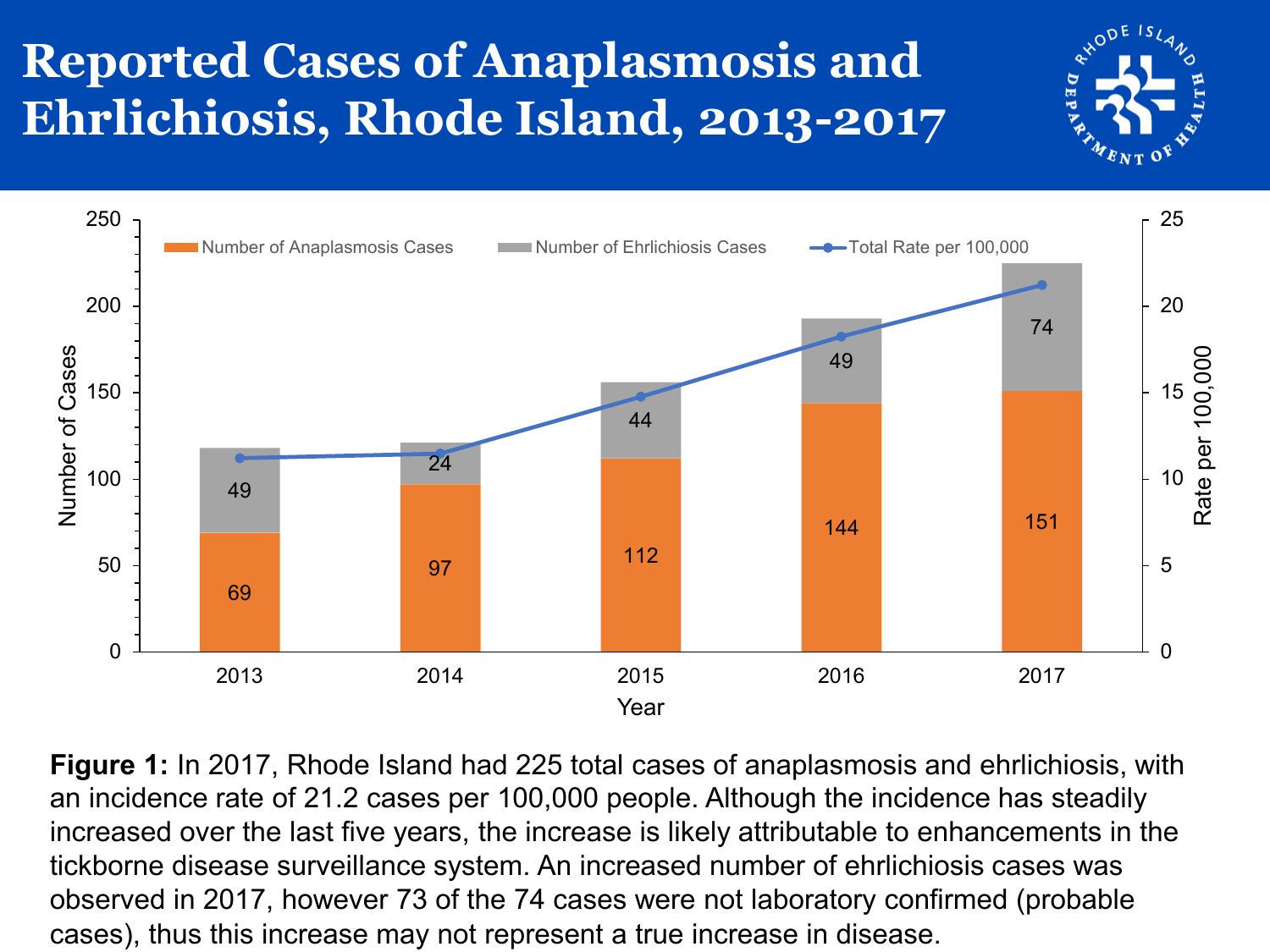#### **Reported Cases of Anaplasmosis and Ehrlichiosis, Rhode Island, 2013-2017**



**Figure 1:** In 2017, Rhode Island had 225 total cases of anaplasmosis and ehrlichiosis, with an incidence rate of 21.2 cases per 100,000 people. Although the incidence has steadily increased over the last five years, the increase is likely attributable to enhancements in the tickborne disease surveillance system. An increased number of ehrlichiosis cases was observed in 2017, however 73 of the 74 cases were not laboratory confirmed (probable cases), thus this increase may not represent a true increase in disease.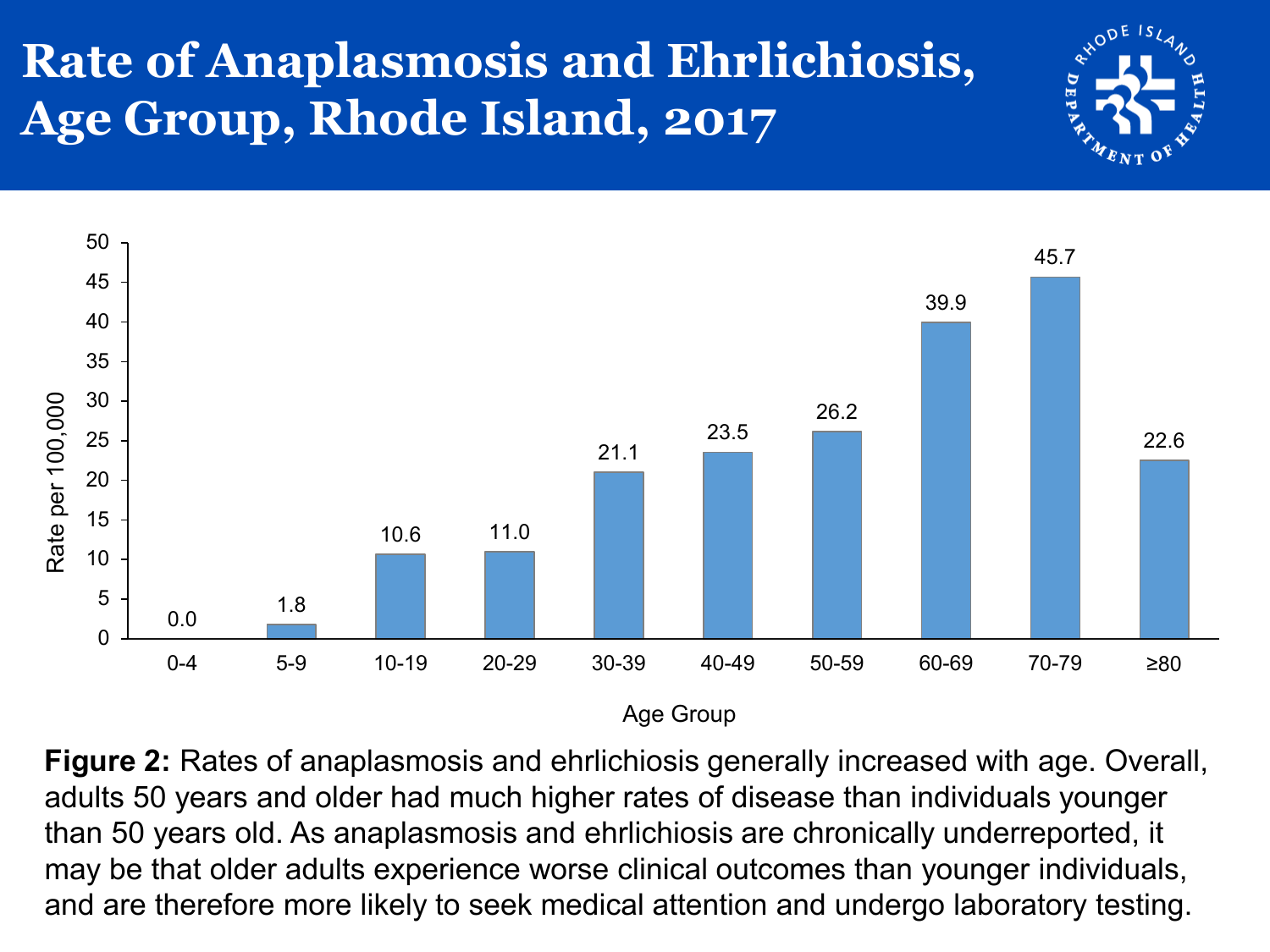#### **Rate of Anaplasmosis and Ehrlichiosis, Age Group, Rhode Island, 2017**





**Figure 2:** Rates of anaplasmosis and ehrlichiosis generally increased with age. Overall, adults 50 years and older had much higher rates of disease than individuals younger than 50 years old. As anaplasmosis and ehrlichiosis are chronically underreported, it may be that older adults experience worse clinical outcomes than younger individuals, and are therefore more likely to seek medical attention and undergo laboratory testing.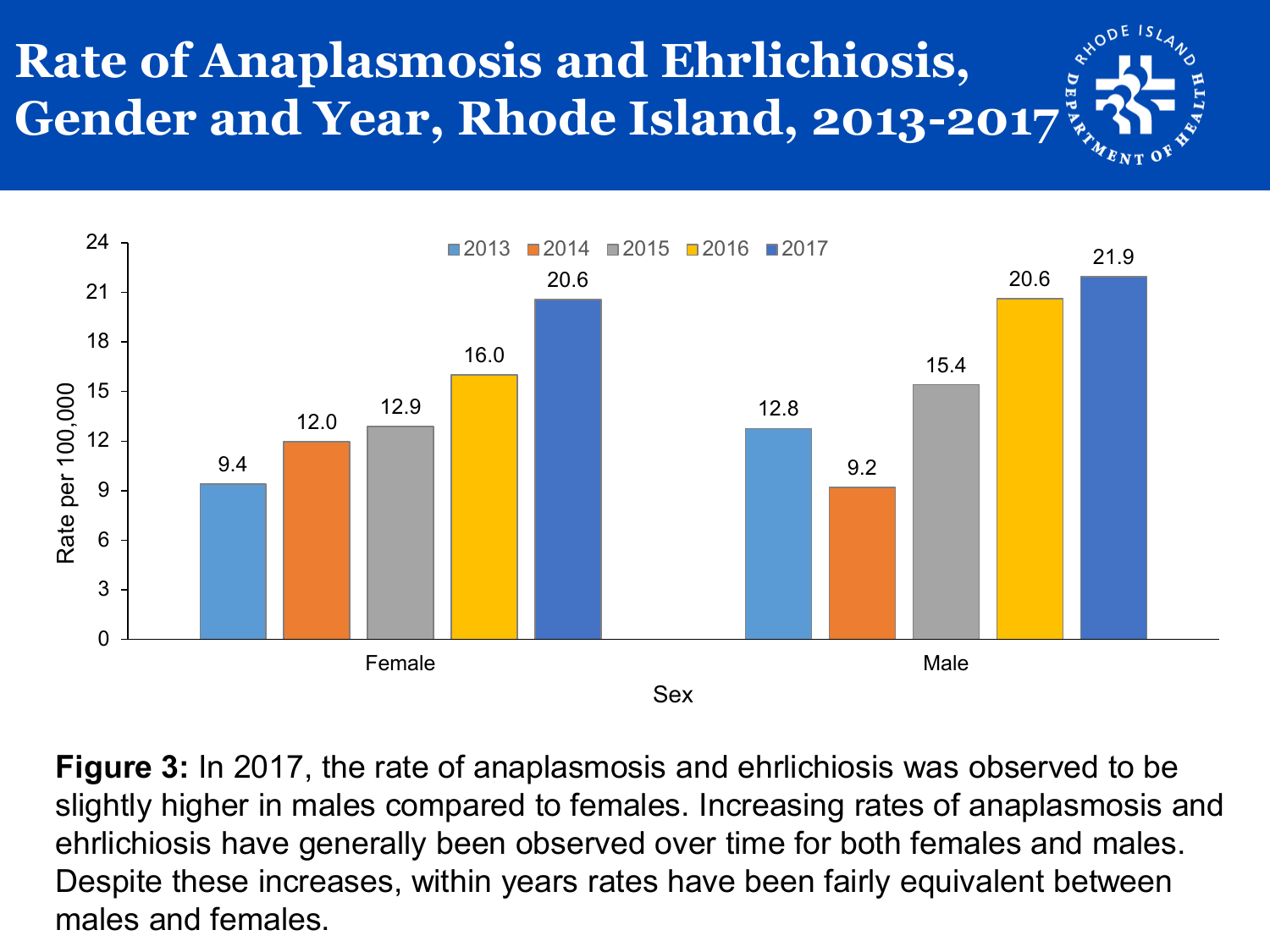# **Rate of Anaplasmosis and Ehrlichiosis, Gender and Year, Rhode Island, 2013-2017**



**Figure 3:** In 2017, the rate of anaplasmosis and ehrlichiosis was observed to be slightly higher in males compared to females. Increasing rates of anaplasmosis and ehrlichiosis have generally been observed over time for both females and males. Despite these increases, within years rates have been fairly equivalent between males and females.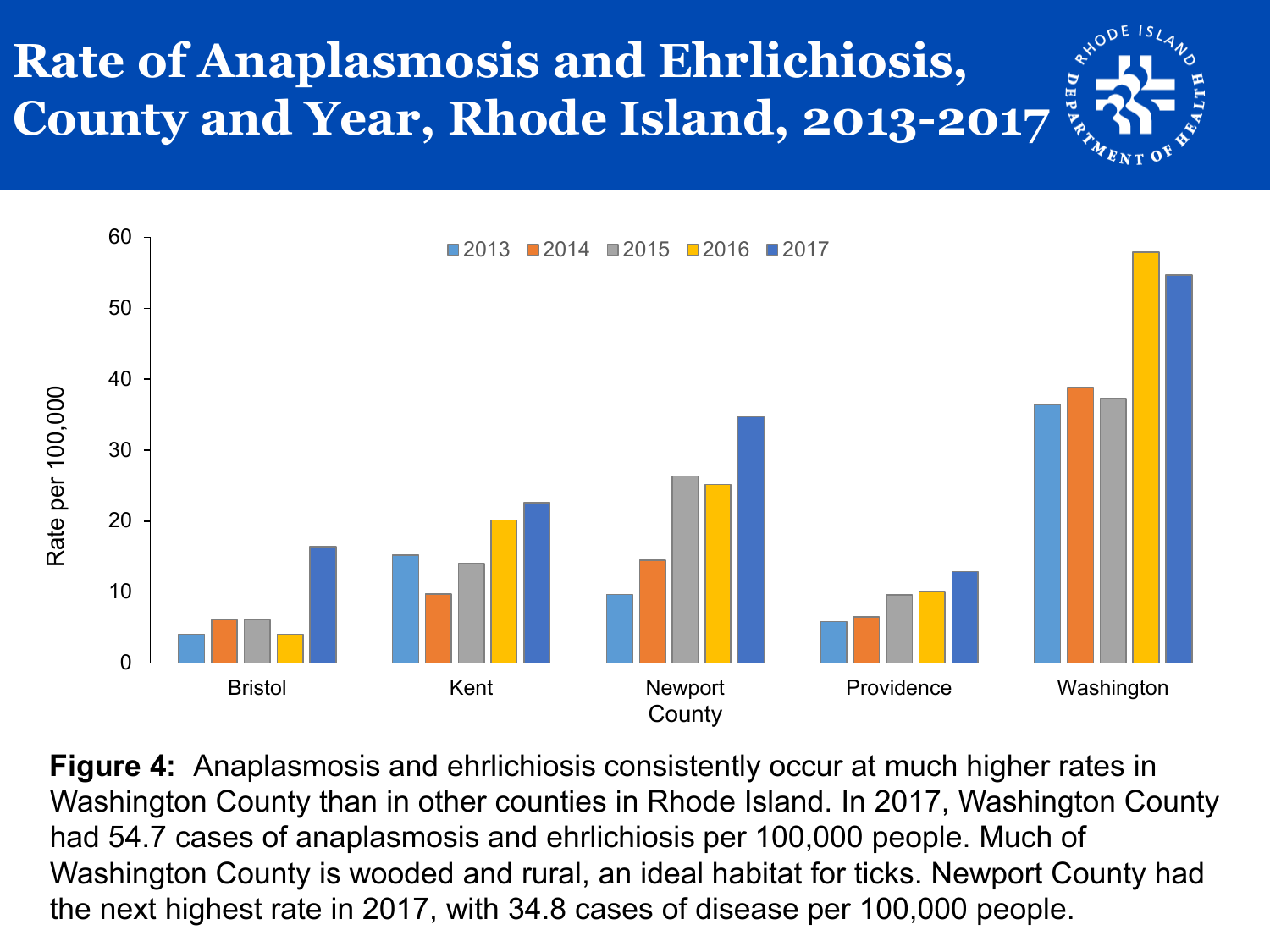# **Rate of Anaplasmosis and Ehrlichiosis, County and Year, Rhode Island, 2013-2017**



**Figure 4:** Anaplasmosis and ehrlichiosis consistently occur at much higher rates in Washington County than in other counties in Rhode Island. In 2017, Washington County had 54.7 cases of anaplasmosis and ehrlichiosis per 100,000 people. Much of Washington County is wooded and rural, an ideal habitat for ticks. Newport County had the next highest rate in 2017, with 34.8 cases of disease per 100,000 people.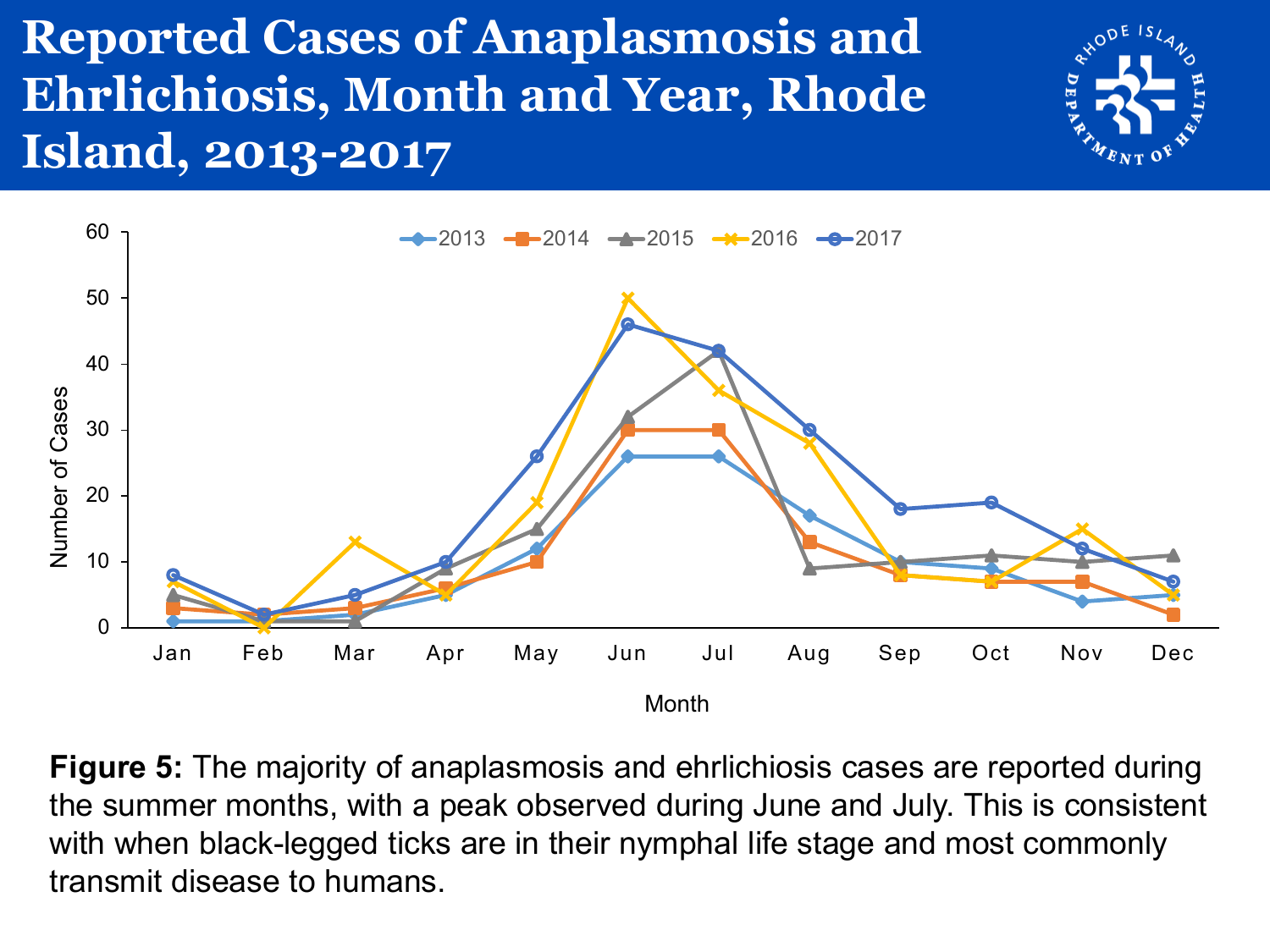#### **Reported Cases of Anaplasmosis and Ehrlichiosis, Month and Year, Rhode Island, 2013-2017**





**Figure 5:** The majority of anaplasmosis and ehrlichiosis cases are reported during the summer months, with a peak observed during June and July. This is consistent with when black-legged ticks are in their nymphal life stage and most commonly transmit disease to humans.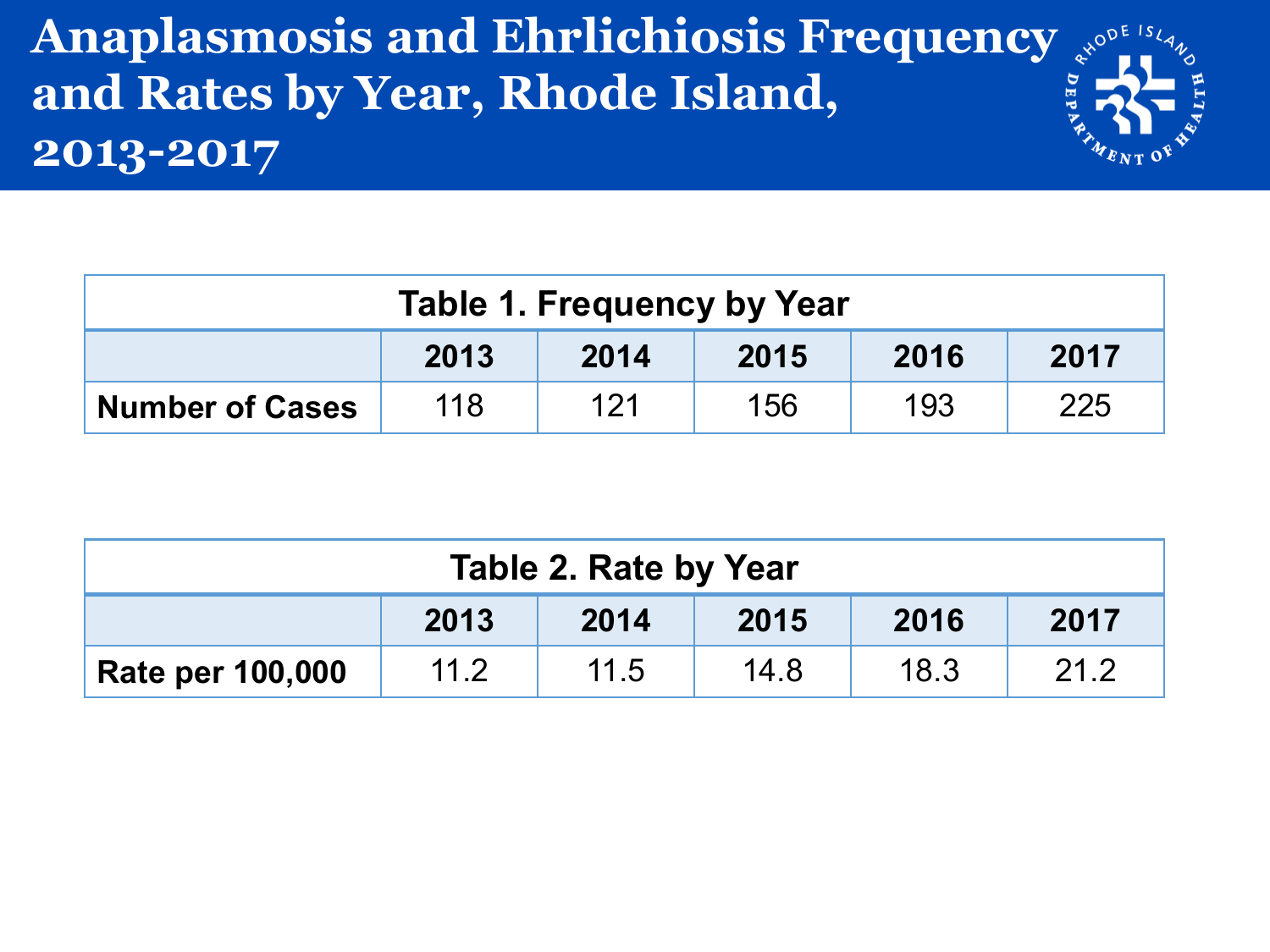#### **Anaplasmosis and Ehrlichiosis Frequency**  $\int_{x^{\infty}}^{x}$ **and Rates by Year, Rhode Island, 2013-2017**

| <b>Table 1. Frequency by Year</b>                         |  |  |  |  |  |  |  |
|-----------------------------------------------------------|--|--|--|--|--|--|--|
| 2016<br>2017<br>2013<br>2015<br>2014                      |  |  |  |  |  |  |  |
| 121<br>193<br>225<br>118<br>156<br><b>Number of Cases</b> |  |  |  |  |  |  |  |

| <b>Table 2. Rate by Year</b>         |      |      |      |      |      |  |  |
|--------------------------------------|------|------|------|------|------|--|--|
| 2017<br>2013<br>2016<br>2014<br>2015 |      |      |      |      |      |  |  |
| <b>Rate per 100,000</b>              | 11.2 | 11.5 | 14.8 | 18.3 | 21.2 |  |  |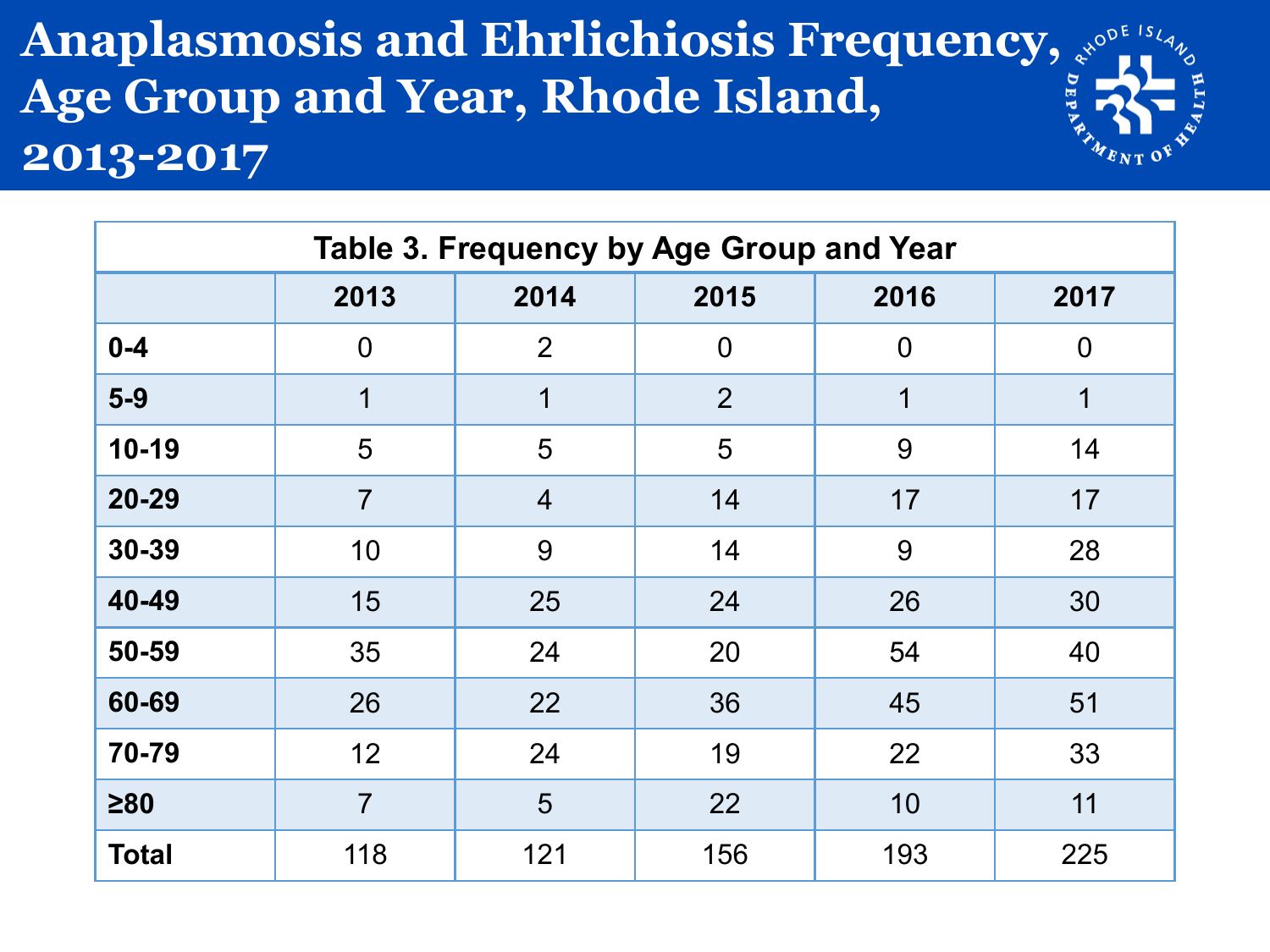#### **Anaplasmosis and Ehrlichiosis Frequency,**  $x^{\text{opt}}$ **. Age Group and Year, Rhode Island, 2013-2017**

| Table 3. Frequency by Age Group and Year |                |                              |                |                |                |  |  |  |  |
|------------------------------------------|----------------|------------------------------|----------------|----------------|----------------|--|--|--|--|
|                                          | 2013           | 2014<br>2015<br>2016<br>2017 |                |                |                |  |  |  |  |
| $0 - 4$                                  | $\mathbf 0$    | 2                            | $\overline{0}$ | $\overline{0}$ | $\overline{0}$ |  |  |  |  |
| $5-9$                                    | 1              | 1                            | $\overline{2}$ | 1              | 1              |  |  |  |  |
| $10-19$                                  | 5              | 5                            | 5              | 9              | 14             |  |  |  |  |
| 20-29                                    | $\overline{7}$ | $\overline{4}$               | 14             | 17             | 17             |  |  |  |  |
| 30-39                                    | 10             | 9                            | 14             | 9              | 28             |  |  |  |  |
| 40-49                                    | 15             | 25                           | 24             | 26             | 30             |  |  |  |  |
| 50-59                                    | 35             | 24                           | 20             | 54             | 40             |  |  |  |  |
| 60-69                                    | 26             | 22                           | 36             | 45             | 51             |  |  |  |  |
| 70-79                                    | 12             | 24                           | 19             | 22             | 33             |  |  |  |  |
| $\geq 80$                                | $\overline{7}$ | 5                            | 22             | 10             | 11             |  |  |  |  |
| <b>Total</b>                             | 118            | 121                          | 156            | 193            | 225            |  |  |  |  |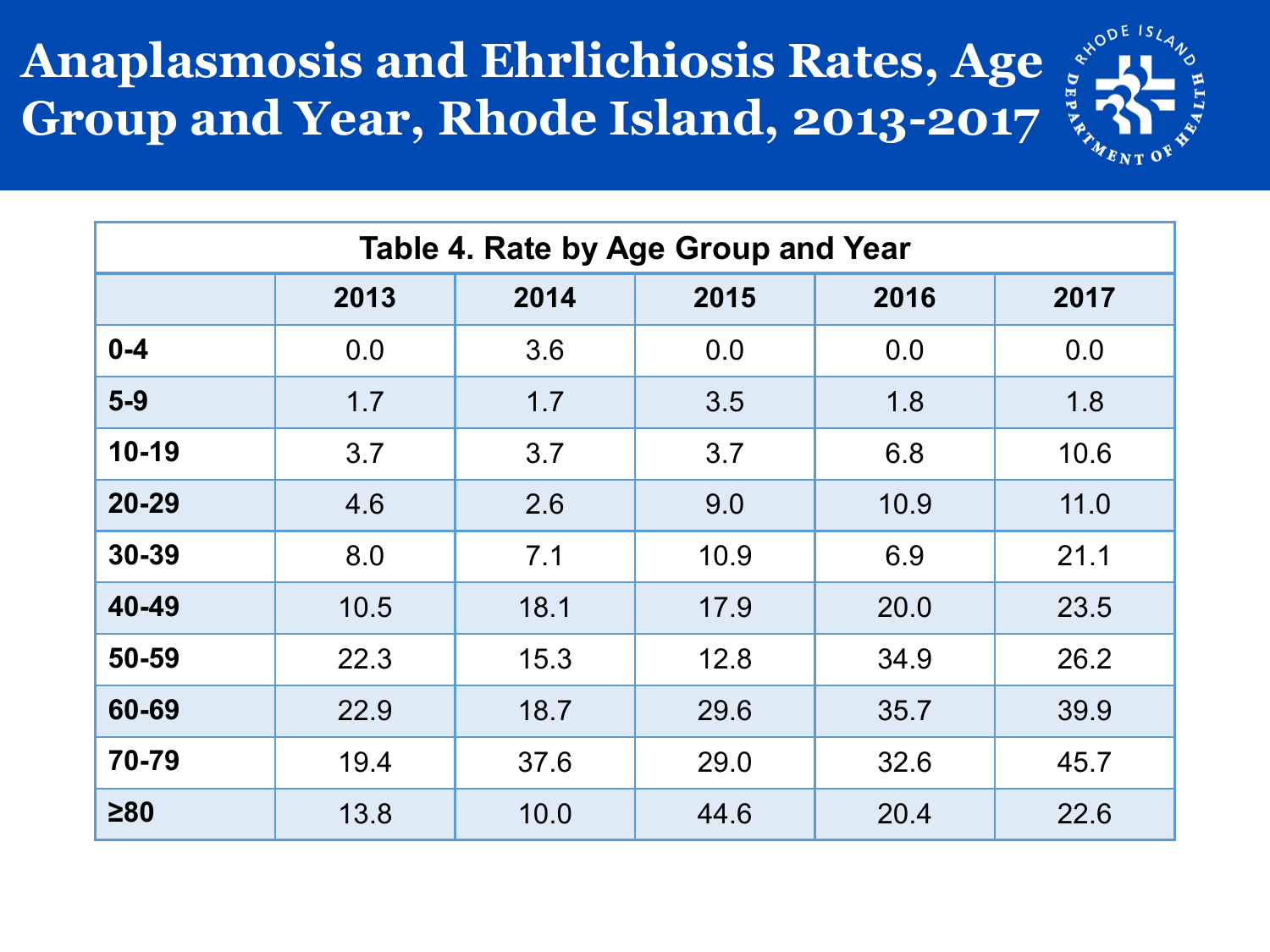#### **Anaplasmosis and Ehrlichiosis Rates, Age Group and Year, Rhode Island, 2013-2017**



| Table 4. Rate by Age Group and Year |      |                              |      |      |      |  |  |  |  |
|-------------------------------------|------|------------------------------|------|------|------|--|--|--|--|
|                                     | 2013 | 2014<br>2015<br>2016<br>2017 |      |      |      |  |  |  |  |
| $0 - 4$                             | 0.0  | 3.6                          | 0.0  | 0.0  | 0.0  |  |  |  |  |
| $5-9$                               | 1.7  | 1.7                          | 3.5  | 1.8  | 1.8  |  |  |  |  |
| $10-19$                             | 3.7  | 3.7                          | 3.7  | 6.8  | 10.6 |  |  |  |  |
| $20 - 29$                           | 4.6  | 2.6                          | 9.0  | 10.9 | 11.0 |  |  |  |  |
| 30-39                               | 8.0  | 7.1                          | 10.9 | 6.9  | 21.1 |  |  |  |  |
| 40-49                               | 10.5 | 18.1                         | 17.9 | 20.0 | 23.5 |  |  |  |  |
| 50-59                               | 22.3 | 15.3                         | 12.8 | 34.9 | 26.2 |  |  |  |  |
| 60-69                               | 22.9 | 18.7                         | 29.6 | 35.7 | 39.9 |  |  |  |  |
| 70-79                               | 19.4 | 37.6                         | 29.0 | 32.6 | 45.7 |  |  |  |  |
| $\geq 80$                           | 13.8 | 10.0                         | 44.6 | 20.4 | 22.6 |  |  |  |  |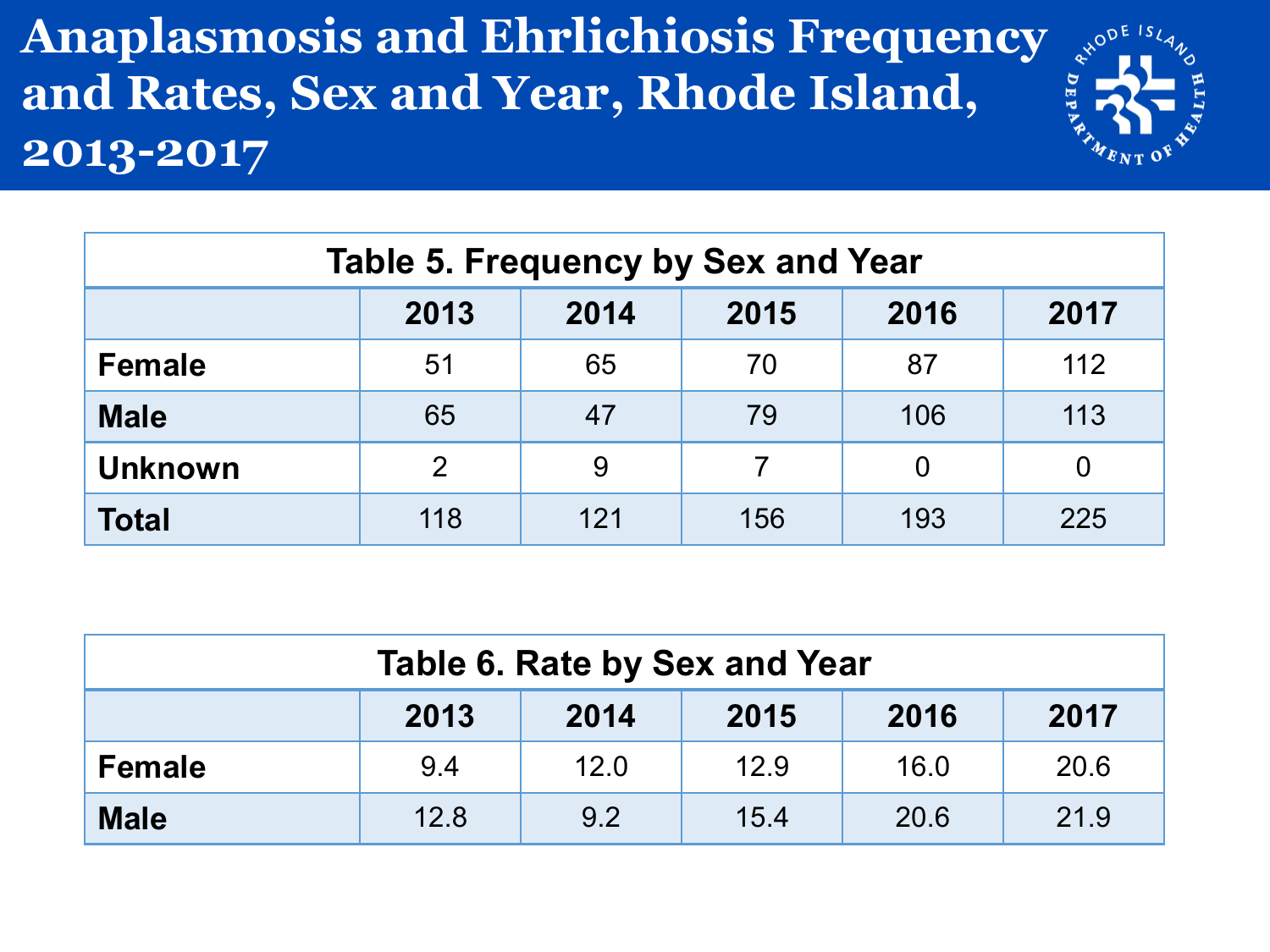**Anaplasmosis and Ehrlichiosis Frequency and Rates, Sex and Year, Rhode Island, 2013-2017**

|   | EISL<br>่ง |  |
|---|------------|--|
|   |            |  |
| E |            |  |
|   |            |  |
|   | MENT<br>Ŷ  |  |

| <b>Table 5. Frequency by Sex and Year</b> |                                      |     |     |          |     |  |  |  |  |
|-------------------------------------------|--------------------------------------|-----|-----|----------|-----|--|--|--|--|
|                                           | 2013<br>2016<br>2015<br>2014<br>2017 |     |     |          |     |  |  |  |  |
| <b>Female</b>                             | 51                                   | 65  | 70  | 87       | 112 |  |  |  |  |
| <b>Male</b>                               | 65                                   | 47  | 79  | 106      | 113 |  |  |  |  |
| <b>Unknown</b>                            | $\overline{2}$                       | 9   |     | $\Omega$ |     |  |  |  |  |
| <b>Total</b>                              | 118                                  | 121 | 156 | 193      | 225 |  |  |  |  |

| Table 6. Rate by Sex and Year                      |     |      |      |      |      |  |  |
|----------------------------------------------------|-----|------|------|------|------|--|--|
| 2016<br>2013<br>2015<br>2017<br>2014               |     |      |      |      |      |  |  |
| <b>Female</b>                                      | 9.4 | 12.0 | 12.9 | 16.0 | 20.6 |  |  |
| 12.8<br><b>Male</b><br>21.9<br>9.2<br>15.4<br>20.6 |     |      |      |      |      |  |  |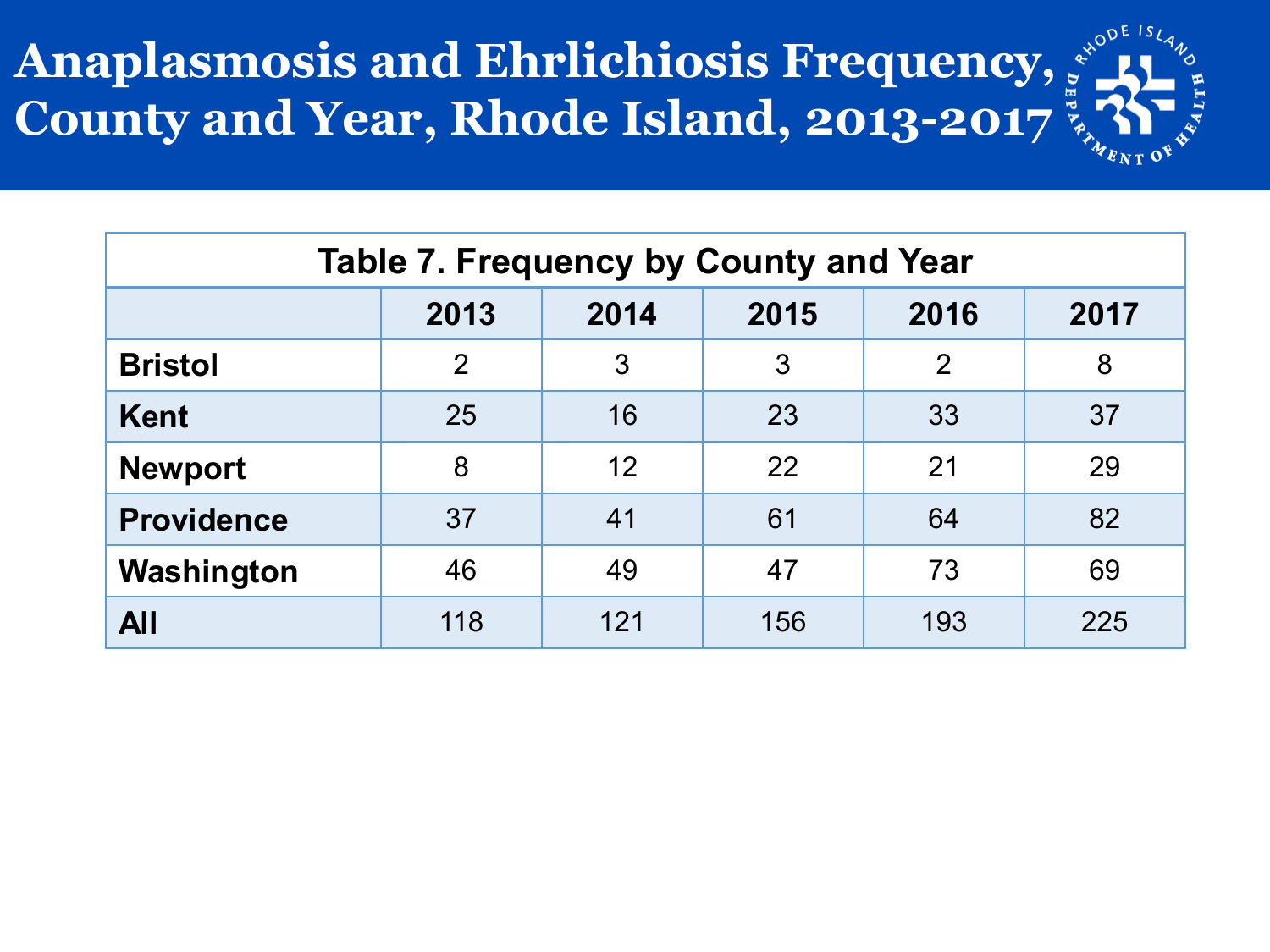## **Anaplasmosis and Ehrlichiosis Frequency, County and Year, Rhode Island, 2013-2017**



| <b>Table 7. Frequency by County and Year</b> |                |                              |     |     |     |  |  |  |  |
|----------------------------------------------|----------------|------------------------------|-----|-----|-----|--|--|--|--|
|                                              | 2013           | 2015<br>2016<br>2014<br>2017 |     |     |     |  |  |  |  |
| <b>Bristol</b>                               | $\overline{2}$ | 3                            | 3   | 2   | 8   |  |  |  |  |
| <b>Kent</b>                                  | 25             | 16                           | 23  | 33  | 37  |  |  |  |  |
| <b>Newport</b>                               | 8              | 12                           | 22  | 21  | 29  |  |  |  |  |
| <b>Providence</b>                            | 37             | 41                           | 61  | 64  | 82  |  |  |  |  |
| Washington                                   | 46             | 49                           | 47  | 73  | 69  |  |  |  |  |
| All                                          | 118            | 121                          | 156 | 193 | 225 |  |  |  |  |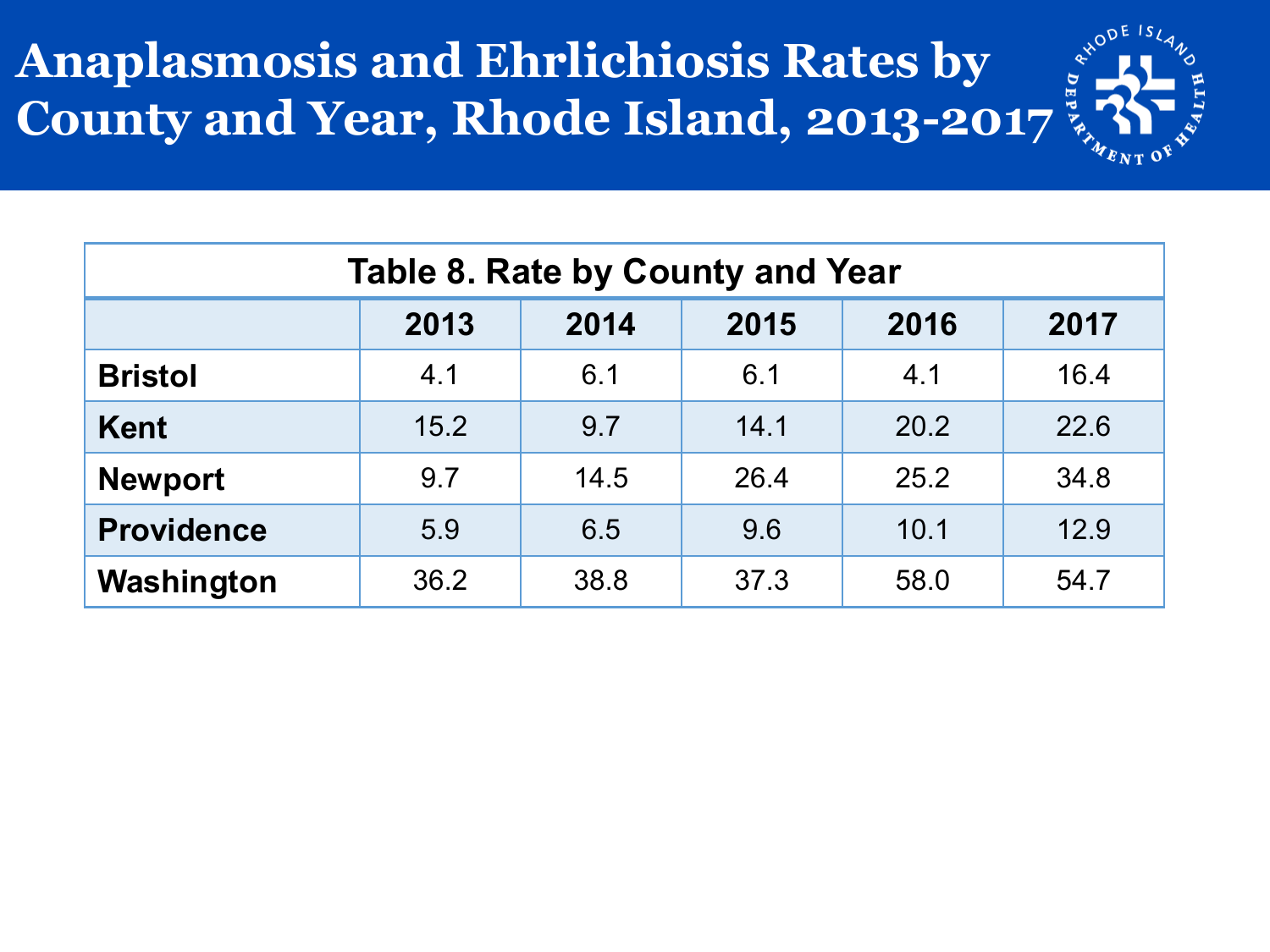## **Anaplasmosis and Ehrlichiosis Rates by County and Year, Rhode Island, 2013-2017**



| <b>Table 8. Rate by County and Year</b> |                                      |      |      |      |      |  |  |  |  |
|-----------------------------------------|--------------------------------------|------|------|------|------|--|--|--|--|
|                                         | 2013<br>2015<br>2016<br>2017<br>2014 |      |      |      |      |  |  |  |  |
| <b>Bristol</b>                          | 4.1                                  | 6.1  | 6.1  | 4.1  | 16.4 |  |  |  |  |
| <b>Kent</b>                             | 15.2                                 | 9.7  | 14.1 | 20.2 | 22.6 |  |  |  |  |
| <b>Newport</b>                          | 9.7                                  | 14.5 | 26.4 | 25.2 | 34.8 |  |  |  |  |
| <b>Providence</b>                       | 5.9                                  | 6.5  | 9.6  | 10.1 | 12.9 |  |  |  |  |
| Washington                              | 36.2                                 | 38.8 | 37.3 | 58.0 | 54.7 |  |  |  |  |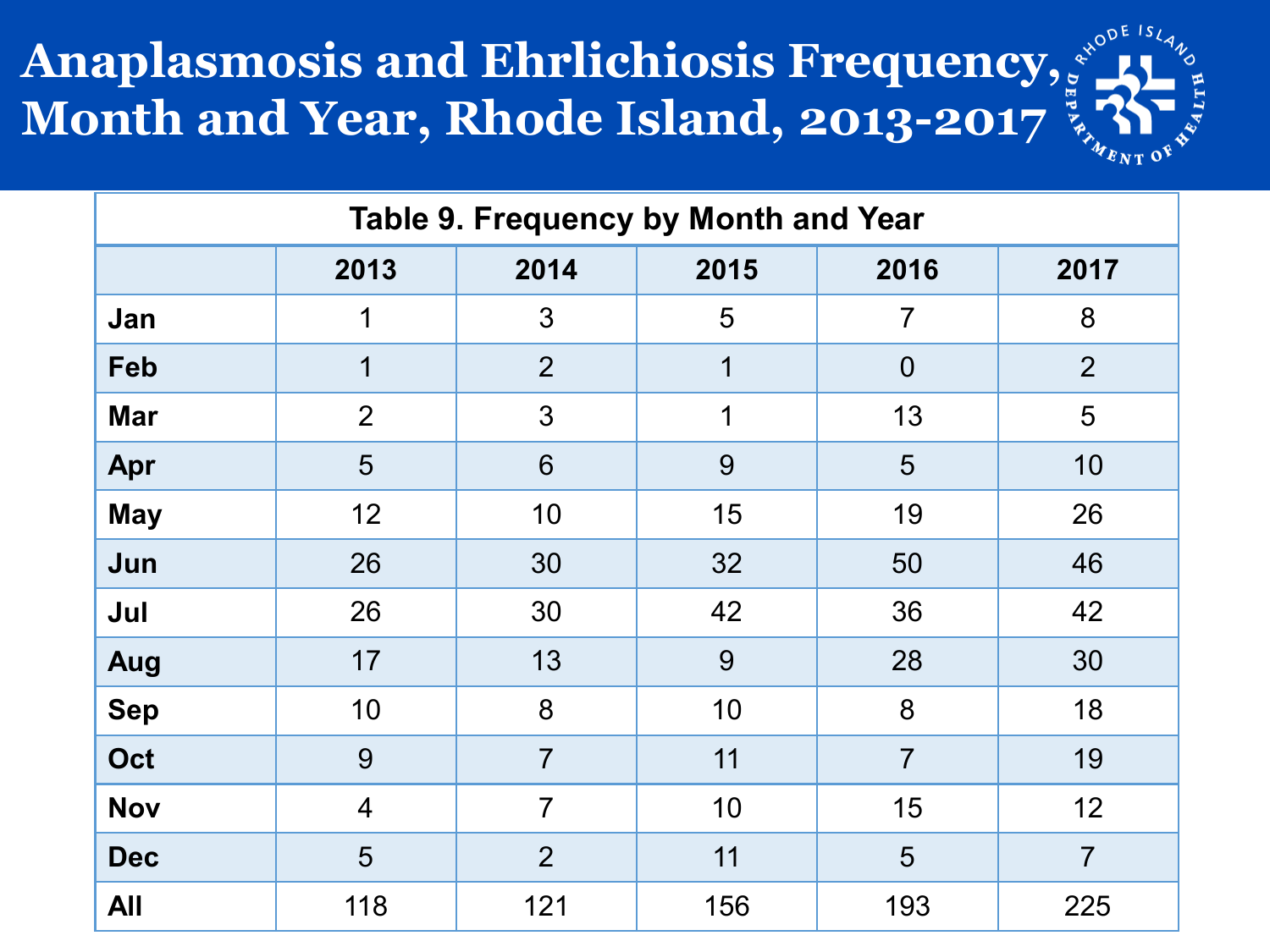#### **Anaplasmosis and Ehrlichiosis Frequency, Month and Year, Rhode Island, 2013-2017**



| Table 9. Frequency by Month and Year |                                      |                |             |                |                |  |  |  |
|--------------------------------------|--------------------------------------|----------------|-------------|----------------|----------------|--|--|--|
|                                      | 2015<br>2013<br>2014<br>2016<br>2017 |                |             |                |                |  |  |  |
| Jan                                  | 1                                    | 3              | 5           | $\overline{7}$ | 8              |  |  |  |
| <b>Feb</b>                           | 1                                    | $\overline{2}$ | $\mathbf 1$ | $\overline{0}$ | $\overline{2}$ |  |  |  |
| <b>Mar</b>                           | $\overline{2}$                       | 3              | 1           | 13             | 5              |  |  |  |
| Apr                                  | 5                                    | 6              | 9           | 5              | 10             |  |  |  |
| <b>May</b>                           | 12                                   | 10             | 15          | 19             | 26             |  |  |  |
| Jun                                  | 26                                   | 30             | 32          | 50             | 46             |  |  |  |
| Jul                                  | 26                                   | 30             | 42          | 36             | 42             |  |  |  |
| Aug                                  | 17                                   | 13             | 9           | 28             | 30             |  |  |  |
| <b>Sep</b>                           | 10                                   | 8              | 10          | 8              | 18             |  |  |  |
| Oct                                  | 9                                    | $\overline{7}$ | 11          | $\overline{7}$ | 19             |  |  |  |
| <b>Nov</b>                           | $\overline{4}$                       | $\overline{7}$ | 10          | 15             | 12             |  |  |  |
| <b>Dec</b>                           | 5                                    | $\overline{2}$ | 11          | 5              | $\overline{7}$ |  |  |  |
| <b>All</b>                           | 118                                  | 121            | 156         | 193            | 225            |  |  |  |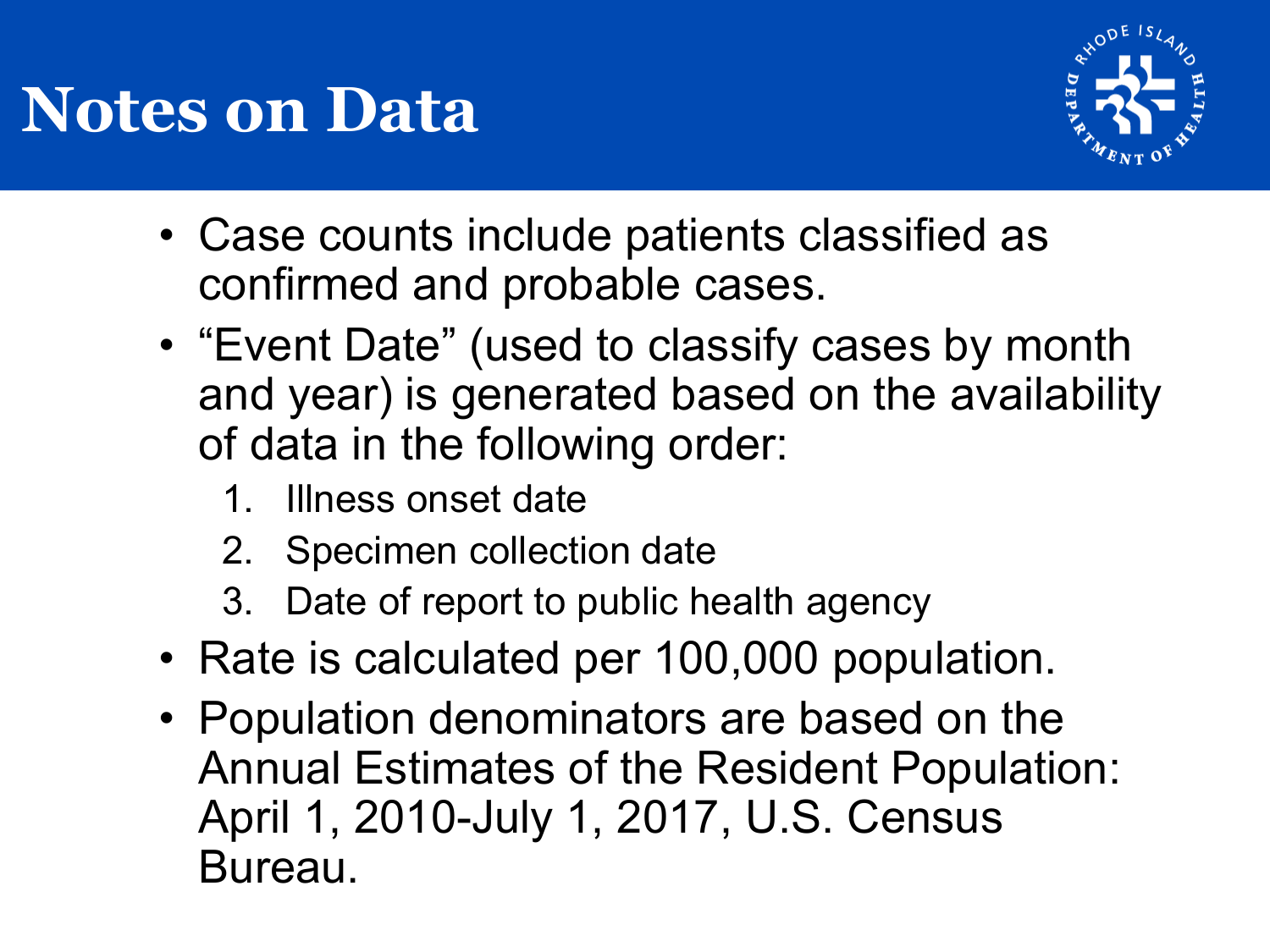# **Notes on Data**



- Case counts include patients classified as confirmed and probable cases.
- "Event Date" (used to classify cases by month and year) is generated based on the availability of data in the following order:
	- 1. Illness onset date
	- 2. Specimen collection date
	- 3. Date of report to public health agency
- Rate is calculated per 100,000 population.
- Population denominators are based on the Annual Estimates of the Resident Population: April 1, 2010-July 1, 2017, U.S. Census Bureau.